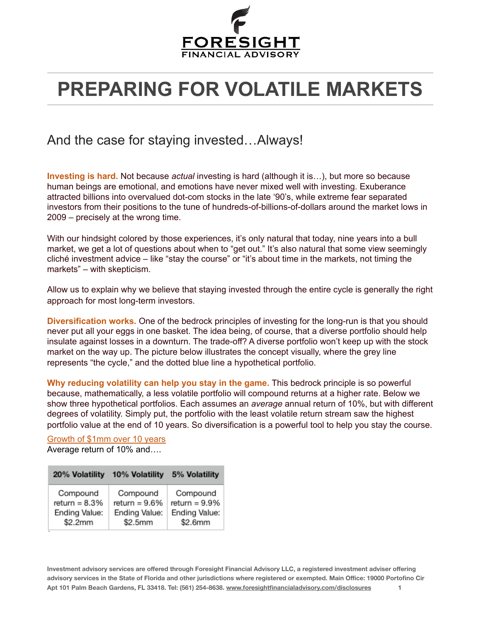

## **PREPARING FOR VOLATILE MARKETS**

## And the case for staying invested…Always!

**Investing is hard.** Not because *actual* investing is hard (although it is…), but more so because human beings are emotional, and emotions have never mixed well with investing. Exuberance attracted billions into overvalued dot-com stocks in the late '90's, while extreme fear separated investors from their positions to the tune of hundreds-of-billions-of-dollars around the market lows in 2009 – precisely at the wrong time.

With our hindsight colored by those experiences, it's only natural that today, nine years into a bull market, we get a lot of questions about when to "get out." It's also natural that some view seemingly cliché investment advice – like "stay the course" or "it's about time in the markets, not timing the markets" – with skepticism.

Allow us to explain why we believe that staying invested through the entire cycle is generally the right approach for most long-term investors.

**Diversification works.** One of the bedrock principles of investing for the long-run is that you should never put all your eggs in one basket. The idea being, of course, that a diverse portfolio should help insulate against losses in a downturn. The trade-off? A diverse portfolio won't keep up with the stock market on the way up. The picture below illustrates the concept visually, where the grey line represents "the cycle," and the dotted blue line a hypothetical portfolio.

**Why reducing volatility can help you stay in the game.** This bedrock principle is so powerful because, mathematically, a less volatile portfolio will compound returns at a higher rate. Below we show three hypothetical portfolios. Each assumes an *average* annual return of 10%, but with different degrees of volatility. Simply put, the portfolio with the least volatile return stream saw the highest portfolio value at the end of 10 years. So diversification is a powerful tool to help you stay the course.

Growth of \$1mm over 10 years Average return of 10% and….

| 20% Volatility  | 10% Volatility   | 5% Volatility    |
|-----------------|------------------|------------------|
| Compound        | Compound         | Compound         |
| return $= 8.3%$ | return = $9.6\%$ | return = $9.9\%$ |
| Ending Value:   | Ending Value:    | Ending Value:    |
| \$2.2mm         | \$2.5mm          | \$2.6mm          |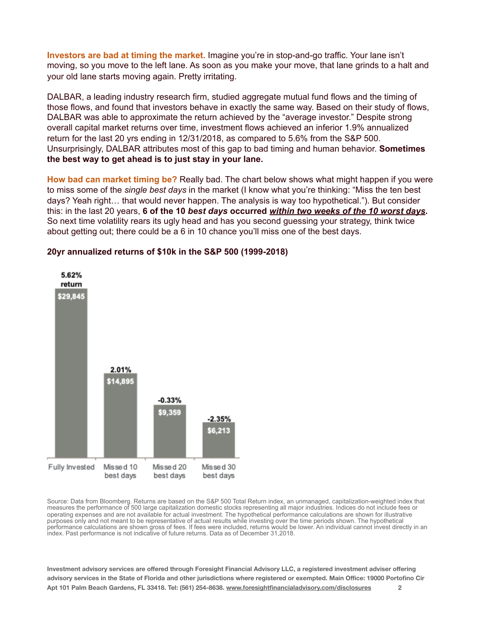**Investors are bad at timing the market.** Imagine you're in stop-and-go traffic. Your lane isn't moving, so you move to the left lane. As soon as you make your move, that lane grinds to a halt and your old lane starts moving again. Pretty irritating.

DALBAR, a leading industry research firm, studied aggregate mutual fund flows and the timing of those flows, and found that investors behave in exactly the same way. Based on their study of flows, DALBAR was able to approximate the return achieved by the "average investor." Despite strong overall capital market returns over time, investment flows achieved an inferior 1.9% annualized return for the last 20 yrs ending in 12/31/2018, as compared to 5.6% from the S&P 500. Unsurprisingly, DALBAR attributes most of this gap to bad timing and human behavior. **Sometimes the best way to get ahead is to just stay in your lane.**

**How bad can market timing be?** Really bad. The chart below shows what might happen if you were to miss some of the *single best days* in the market (I know what you're thinking: "Miss the ten best days? Yeah right… that would never happen. The analysis is way too hypothetical."). But consider this: in the last 20 years, **6 of the 10** *best days* **occurred** *within two weeks of the 10 worst days***.**  So next time volatility rears its ugly head and has you second guessing your strategy, think twice about getting out; there could be a 6 in 10 chance you'll miss one of the best days.



## **20yr annualized returns of \$10k in the S&P 500 (1999-2018)**

Source: Data from Bloomberg. Returns are based on the S&P 500 Total Return index, an unmanaged, capitalization-weighted index that measures the performance of 500 large capitalization domestic stocks representing all major industries. Indices do not include fees or operating expenses and are not available for actual investment. The hypothetical performance calculations are shown for illustrative purposes only and not meant to be representative of actual results while investing over the time periods shown. The hypothetical performance calculations are shown gross of fees. If fees were included, returns would be lower. An individual cannot invest directly in an index. Past performance is not indicative of future returns. Data as of December 31,2018.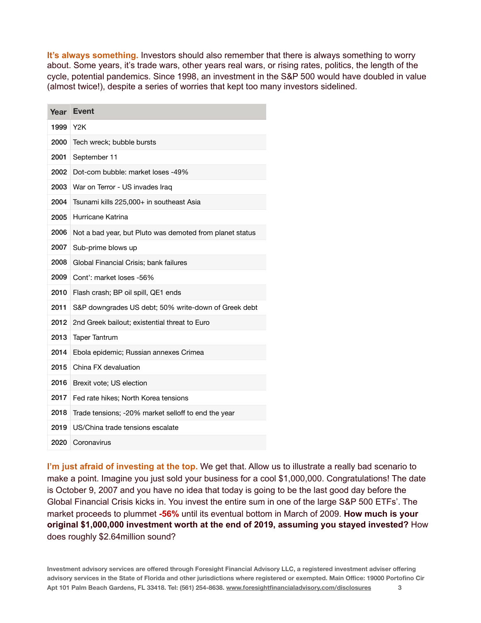**It's always something.** Investors should also remember that there is always something to worry about. Some years, it's trade wars, other years real wars, or rising rates, politics, the length of the cycle, potential pandemics. Since 1998, an investment in the S&P 500 would have doubled in value (almost twice!), despite a series of worries that kept too many investors sidelined.

| Year | <b>Event</b>                                             |
|------|----------------------------------------------------------|
| 1999 | Y <sub>2</sub> K                                         |
| 2000 | Tech wreck; bubble bursts                                |
| 2001 | September 11                                             |
| 2002 | Dot-com bubble: market loses -49%                        |
| 2003 | War on Terror - US invades Iraq                          |
| 2004 | Tsunami kills 225,000+ in southeast Asia                 |
| 2005 | Hurricane Katrina                                        |
| 2006 | Not a bad year, but Pluto was demoted from planet status |
| 2007 | Sub-prime blows up                                       |
| 2008 | Global Financial Crisis; bank failures                   |
| 2009 | Cont': market loses -56%                                 |
| 2010 | Flash crash; BP oil spill, QE1 ends                      |
| 2011 | S&P downgrades US debt; 50% write-down of Greek debt     |
| 2012 | 2nd Greek bailout; existential threat to Euro            |
| 2013 | <b>Taper Tantrum</b>                                     |
| 2014 | Ebola epidemic; Russian annexes Crimea                   |
| 2015 | China FX devaluation                                     |
| 2016 | Brexit vote; US election                                 |
| 2017 | Fed rate hikes; North Korea tensions                     |
| 2018 | Trade tensions; -20% market selloff to end the year      |
| 2019 | US/China trade tensions escalate                         |
| 2020 | Coronavirus                                              |

**I'm just afraid of investing at the top.** We get that. Allow us to illustrate a really bad scenario to make a point. Imagine you just sold your business for a cool \$1,000,000. Congratulations! The date is October 9, 2007 and you have no idea that today is going to be the last good day before the Global Financial Crisis kicks in. You invest the entire sum in one of the large S&P 500 ETFs'. The market proceeds to plummet **-56%** until its eventual bottom in March of 2009. **How much is your original \$1,000,000 investment worth at the end of 2019, assuming you stayed invested?** How does roughly \$2.64million sound?